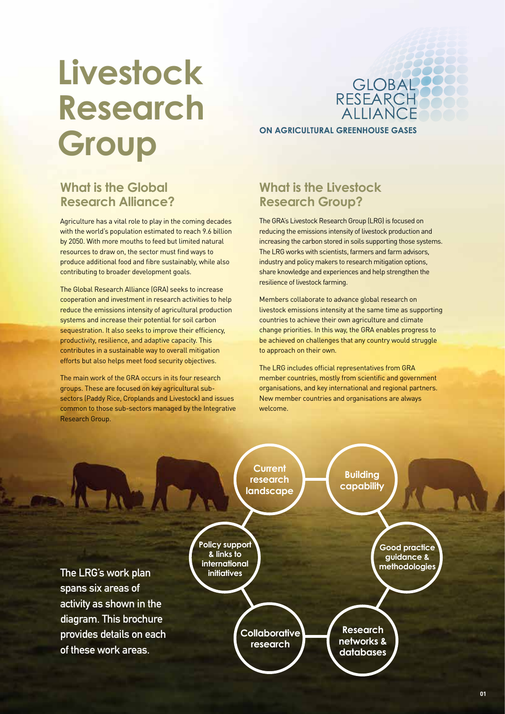# **Livestock Research Group**

GLOBAL<br>RESEARCH<br>ALLIANCE **ON AGRICULTURAL GREENHOUSE GASES** 

## **What is the Global Research Alliance?**

Agriculture has a vital role to play in the coming decades with the world's population estimated to reach 9.6 billion by 2050. With more mouths to feed but limited natural resources to draw on, the sector must find ways to produce additional food and fibre sustainably, while also contributing to broader development goals.

The Global Research Alliance (GRA) seeks to increase cooperation and investment in research activities to help reduce the emissions intensity of agricultural production systems and increase their potential for soil carbon sequestration. It also seeks to improve their efficiency, productivity, resilience, and adaptive capacity. This contributes in a sustainable way to overall mitigation efforts but also helps meet food security objectives.

The main work of the GRA occurs in its four research groups. These are focused on key agricultural subsectors (Paddy Rice, Croplands and Livestock) and issues common to those sub-sectors managed by the Integrative Research Group.

## **What is the Livestock Research Group?**

The GRA's Livestock Research Group (LRG) is focused on reducing the emissions intensity of livestock production and increasing the carbon stored in soils supporting those systems. The LRG works with scientists, farmers and farm advisors, industry and policy makers to research mitigation options, share knowledge and experiences and help strengthen the resilience of livestock farming.

Members collaborate to advance global research on livestock emissions intensity at the same time as supporting countries to achieve their own agriculture and climate change priorities. In this way, the GRA enables progress to be achieved on challenges that any country would struggle to approach on their own.

The LRG includes official representatives from GRA member countries, mostly from scientific and government organisations, and key international and regional partners. New member countries and organisations are always welcome.

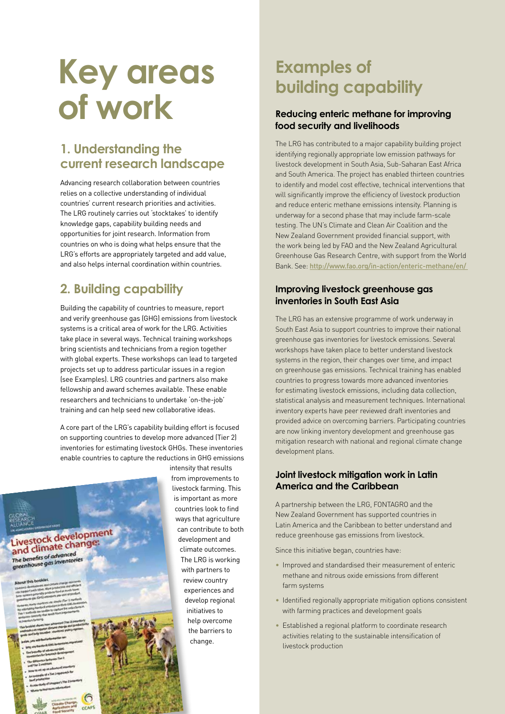# **Key areas of work**

## **1. Understanding the current research landscape**

Advancing research collaboration between countries relies on a collective understanding of individual countries' current research priorities and activities. The LRG routinely carries out 'stocktakes' to identify knowledge gaps, capability building needs and opportunities for joint research. Information from countries on who is doing what helps ensure that the LRG's efforts are appropriately targeted and add value, and also helps internal coordination within countries.

## **2. Building capability**

Building the capability of countries to measure, report and verify greenhouse gas (GHG) emissions from livestock systems is a critical area of work for the LRG. Activities take place in several ways. Technical training workshops bring scientists and technicians from a region together with global experts. These workshops can lead to targeted projects set up to address particular issues in a region (see Examples). LRG countries and partners also make fellowship and award schemes available. These enable researchers and technicians to undertake 'on-the-job' training and can help seed new collaborative ideas.

A core part of the LRG's capability building effort is focused on supporting countries to develop more advanced (Tier 2) inventories for estimating livestock GHGs. These inventories enable countries to capture the reductions in GHG emissions



intensity that results from improvements to livestock farming. This is important as more countries look to find ways that agriculture can contribute to both development and climate outcomes. The LRG is working with partners to review country experiences and develop regional initiatives to help overcome the barriers to change.

## **Examples of building capability**

#### **Reducing enteric methane for improving food security and livelihoods**

The LRG has contributed to a major capability building project identifying regionally appropriate low emission pathways for livestock development in South Asia, Sub-Saharan East Africa and South America. The project has enabled thirteen countries to identify and model cost effective, technical interventions that will significantly improve the efficiency of livestock production and reduce enteric methane emissions intensity. Planning is underway for a second phase that may include farm-scale testing. The UN's Climate and Clean Air Coalition and the New Zealand Government provided financial support, with the work being led by FAO and the New Zealand Agricultural Greenhouse Gas Research Centre, with support from the World Bank. See: http://www.fao.org/in-action/enteric-methane/en/

#### **Improving livestock greenhouse gas inventories in South East Asia**

The LRG has an extensive programme of work underway in South East Asia to support countries to improve their national greenhouse gas inventories for livestock emissions. Several workshops have taken place to better understand livestock systems in the region, their changes over time, and impact on greenhouse gas emissions. Technical training has enabled countries to progress towards more advanced inventories for estimating livestock emissions, including data collection, statistical analysis and measurement techniques. International inventory experts have peer reviewed draft inventories and provided advice on overcoming barriers. Participating countries are now linking inventory development and greenhouse gas mitigation research with national and regional climate change development plans.

#### **Joint livestock mitigation work in Latin America and the Caribbean**

A partnership between the LRG, FONTAGRO and the New Zealand Government has supported countries in Latin America and the Caribbean to better understand and reduce greenhouse gas emissions from livestock.

Since this initiative began, countries have:

- Improved and standardised their measurement of enteric methane and nitrous oxide emissions from different farm systems
- Identified regionally appropriate mitigation options consistent with farming practices and development goals
- Established a regional platform to coordinate research activities relating to the sustainable intensification of livestock production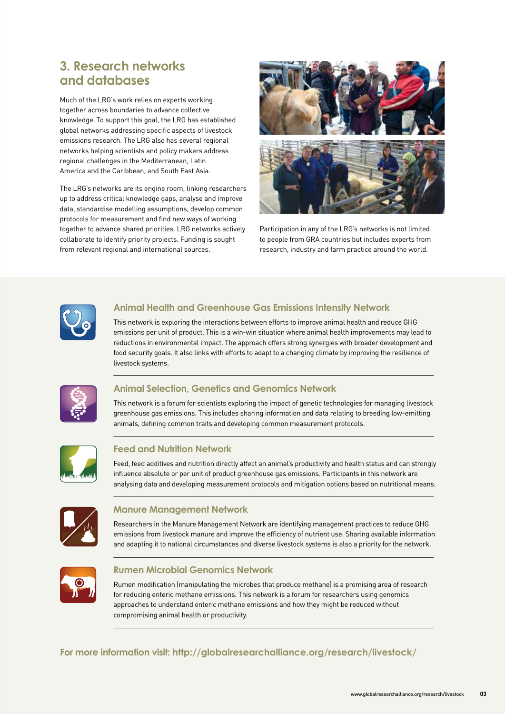## **3. Research networks and databases**

Much of the LRG's work relies on experts working together across boundaries to advance collective knowledge. To support this goal, the LRG has established global networks addressing specific aspects of livestock emissions research. The LRG also has several regional networks helping scientists and policy makers address regional challenges in the Mediterranean, Latin America and the Caribbean, and South East Asia.

The LRG's networks are its engine room, linking researchers up to address critical knowledge gaps, analyse and improve data, standardise modelling assumptions, develop common protocols for measurement and find new ways of working together to advance shared priorities. LRG networks actively collaborate to identify priority projects. Funding is sought from relevant regional and international sources.



Participation in any of the LRG's networks is not limited to people from GRA countries but includes experts from research, industry and farm practice around the world.



#### **Animal Health and Greenhouse Gas Emissions Intensity Network**

This network is exploring the interactions between efforts to improve animal health and reduce GHG emissions per unit of product. This is a win-win situation where animal health improvements may lead to reductions in environmental impact. The approach offers strong synergies with broader development and food security goals. It also links with efforts to adapt to a changing climate by improving the resilience of livestock systems.



#### **Animal Selection, Genetics and Genomics Network**

This network is a forum for scientists exploring the impact of genetic technologies for managing livestock greenhouse gas emissions. This includes sharing information and data relating to breeding low-emitting animals, defining common traits and developing common measurement protocols.



#### **Feed and Nutrition Network**

Feed, feed additives and nutrition directly affect an animal's productivity and health status and can strongly influence absolute or per unit of product greenhouse gas emissions. Participants in this network are analysing data and developing measurement protocols and mitigation options based on nutritional means.



#### **Manure Management Network**

Researchers in the Manure Management Network are identifying management practices to reduce GHG emissions from livestock manure and improve the efficiency of nutrient use. Sharing available information and adapting it to national circumstances and diverse livestock systems is also a priority for the network.



#### **Rumen Microbial Genomics Network**

Rumen modification (manipulating the microbes that produce methane) is a promising area of research for reducing enteric methane emissions. This network is a forum for researchers using genomics approaches to understand enteric methane emissions and how they might be reduced without compromising animal health or productivity.

**[For more information visit: http://globalresearchalliance.org/research/livestock/](http://globalresearchalliance.org/research/livestock/)**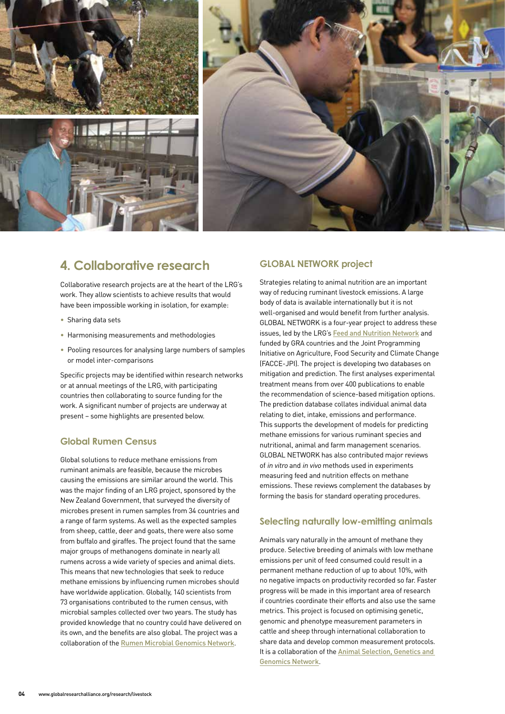

## **4. Collaborative research**

Collaborative research projects are at the heart of the LRG's work. They allow scientists to achieve results that would have been impossible working in isolation, for example:

- Sharing data sets
- Harmonising measurements and methodologies
- Pooling resources for analysing large numbers of samples or model inter-comparisons

Specific projects may be identified within research networks or at annual meetings of the LRG, with participating countries then collaborating to source funding for the work. A significant number of projects are underway at present – some highlights are presented below.

#### **Global Rumen Census**

Global solutions to reduce methane emissions from ruminant animals are feasible, because the microbes causing the emissions are similar around the world. This was the major finding of an LRG project, sponsored by the New Zealand Government, that surveyed the diversity of microbes present in rumen samples from 34 countries and a range of farm systems. As well as the expected samples from sheep, cattle, deer and goats, there were also some from buffalo and giraffes. The project found that the same major groups of methanogens dominate in nearly all rumens across a wide variety of species and animal diets. This means that new technologies that seek to reduce methane emissions by influencing rumen microbes should have worldwide application. Globally, 140 scientists from 73 organisations contributed to the rumen census, with microbial samples collected over two years. The study has provided knowledge that no country could have delivered on its own, and the benefits are also global. The project was a collaboration of the [Rumen Microbial Genomics Networ](http://www.rmgnetwork.org/home.html)[k](http://www.rmgnetwork.org).

#### **GLOBAL NETWORK project**

Strategies relating to animal nutrition are an important way of reducing ruminant livestock emissions. A large body of data is available internationally but it is not well-organised and would benefit from further analysis. GLOBAL NETWORK is a four-year project to address these issues, led by the LRG's [Feed and Nutrition Network](http://animalscience.psu.edu/fnn) and funded by GRA countries and the Joint Programming Initiative on Agriculture, Food Security and Climate Change (FACCE-JPI). The project is developing two databases on mitigation and prediction. The first analyses experimental treatment means from over 400 publications to enable the recommendation of science-based mitigation options. The prediction database collates individual animal data relating to diet, intake, emissions and performance. This supports the development of models for predicting methane emissions for various ruminant species and nutritional, animal and farm management scenarios. GLOBAL NETWORK has also contributed major reviews of in vitro and in vivo methods used in experiments measuring feed and nutrition effects on methane emissions. These reviews complement the databases by forming the basis for standard operating procedures.

#### **Selecting naturally low-emitting animals**

Animals vary naturally in the amount of methane they produce. Selective breeding of animals with low methane emissions per unit of feed consumed could result in a permanent methane reduction of up to about 10%, with no negative impacts on productivity recorded so far. Faster progress will be made in this important area of research if countries coordinate their efforts and also use the same metrics. This project is focused on optimising genetic, genomic and phenotype measurement parameters in cattle and sheep through international collaboration to share data and develop common measurement protocols. It is a collaboration of the **Animal Selection, Genetics and** Genomics Network.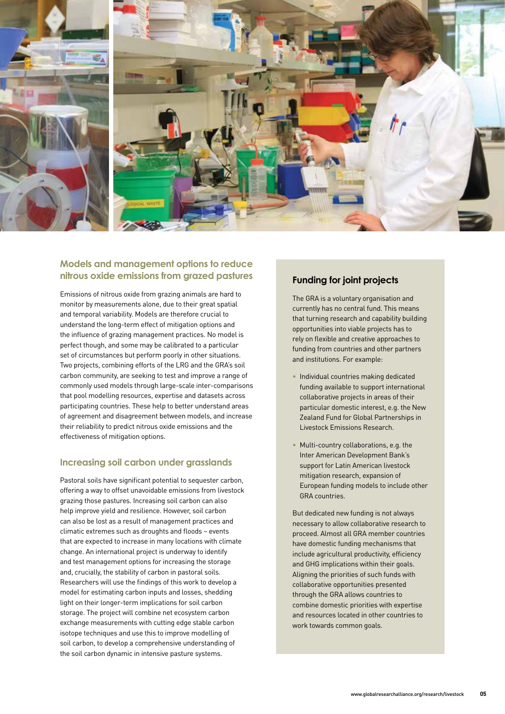

#### **Models and management options to reduce nitrous oxide emissions from grazed pastures**

Emissions of nitrous oxide from grazing animals are hard to monitor by measurements alone, due to their great spatial and temporal variability. Models are therefore crucial to understand the long-term effect of mitigation options and the influence of grazing management practices. No model is perfect though, and some may be calibrated to a particular set of circumstances but perform poorly in other situations. Two projects, combining efforts of the LRG and the GRA's soil carbon community, are seeking to test and improve a range of commonly used models through large-scale inter-comparisons that pool modelling resources, expertise and datasets across participating countries. These help to better understand areas of agreement and disagreement between models, and increase their reliability to predict nitrous oxide emissions and the effectiveness of mitigation options.

#### **Increasing soil carbon under grasslands**

Pastoral soils have significant potential to sequester carbon, offering a way to offset unavoidable emissions from livestock grazing those pastures. Increasing soil carbon can also help improve yield and resilience. However, soil carbon can also be lost as a result of management practices and climatic extremes such as droughts and floods – events that are expected to increase in many locations with climate change. An international project is underway to identify and test management options for increasing the storage and, crucially, the stability of carbon in pastoral soils. Researchers will use the findings of this work to develop a model for estimating carbon inputs and losses, shedding light on their longer-term implications for soil carbon storage. The project will combine net ecosystem carbon exchange measurements with cutting edge stable carbon isotope techniques and use this to improve modelling of soil carbon, to develop a comprehensive understanding of the soil carbon dynamic in intensive pasture systems.

#### **Funding for joint projects**

The GRA is a voluntary organisation and currently has no central fund. This means that turning research and capability building opportunities into viable projects has to rely on flexible and creative approaches to funding from countries and other partners and institutions. For example:

- Individual countries making dedicated funding available to support international collaborative projects in areas of their particular domestic interest, e.g. the New Zealand Fund for Global Partnerships in Livestock Emissions Research.
- Multi-country collaborations, e.g. the Inter American Development Bank's support for Latin American livestock mitigation research, expansion of European funding models to include other GRA countries.

But dedicated new funding is not always necessary to allow collaborative research to proceed. Almost all GRA member countries have domestic funding mechanisms that include agricultural productivity, efficiency and GHG implications within their goals. Aligning the priorities of such funds with collaborative opportunities presented through the GRA allows countries to combine domestic priorities with expertise and resources located in other countries to work towards common goals.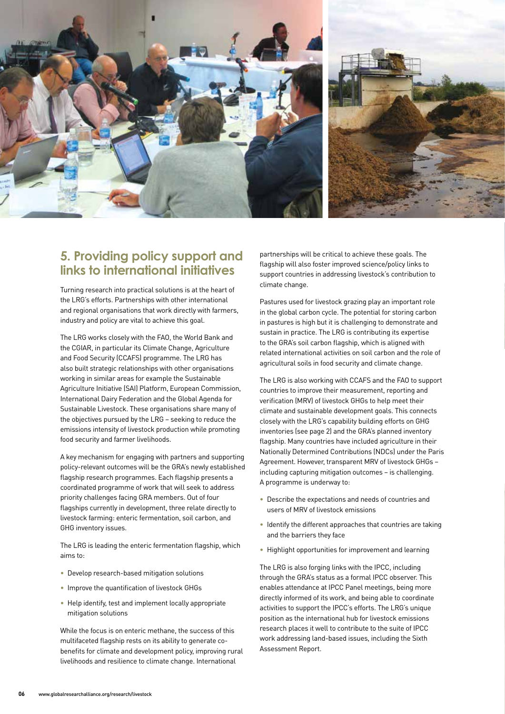

### **5. Providing policy support and links to international initiatives**

Turning research into practical solutions is at the heart of the LRG's efforts. Partnerships with other international and regional organisations that work directly with farmers, industry and policy are vital to achieve this goal.

The LRG works closely with the FAO, the World Bank and the CGIAR, in particular its Climate Change, Agriculture and Food Security (CCAFS) programme. The LRG has also built strategic relationships with other organisations working in similar areas for example the Sustainable Agriculture Initiative (SAI) Platform, European Commission, International Dairy Federation and the Global Agenda for Sustainable Livestock. These organisations share many of the objectives pursued by the LRG – seeking to reduce the emissions intensity of livestock production while promoting food security and farmer livelihoods.

A key mechanism for engaging with partners and supporting policy-relevant outcomes will be the GRA's newly established flagship research programmes. Each flagship presents a coordinated programme of work that will seek to address priority challenges facing GRA members. Out of four flagships currently in development, three relate directly to livestock farming: enteric fermentation, soil carbon, and GHG inventory issues.

The LRG is leading the enteric fermentation flagship, which aims to:

- Develop research-based mitigation solutions
- Improve the quantification of livestock GHGs
- Help identify, test and implement locally appropriate mitigation solutions

While the focus is on enteric methane, the success of this multifaceted flagship rests on its ability to generate cobenefits for climate and development policy, improving rural livelihoods and resilience to climate change. International

partnerships will be critical to achieve these goals. The flagship will also foster improved science/policy links to support countries in addressing livestock's contribution to climate change.

Pastures used for livestock grazing play an important role in the global carbon cycle. The potential for storing carbon in pastures is high but it is challenging to demonstrate and sustain in practice. The LRG is contributing its expertise to the GRA's soil carbon flagship, which is aligned with related international activities on soil carbon and the role of agricultural soils in food security and climate change.

The LRG is also working with CCAFS and the FAO to support countries to improve their measurement, reporting and verification (MRV) of livestock GHGs to help meet their climate and sustainable development goals. This connects closely with the LRG's capability building efforts on GHG inventories (see page 2) and the GRA's planned inventory flagship. Many countries have included agriculture in their Nationally Determined Contributions (NDCs) under the Paris Agreement. However, transparent MRV of livestock GHGs – including capturing mitigation outcomes – is challenging. A programme is underway to:

- Describe the expectations and needs of countries and users of MRV of livestock emissions
- Identify the different approaches that countries are taking and the barriers they face
- Highlight opportunities for improvement and learning

The LRG is also forging links with the IPCC, including through the GRA's status as a formal IPCC observer. This enables attendance at IPCC Panel meetings, being more directly informed of its work, and being able to coordinate activities to support the IPCC's efforts. The LRG's unique position as the international hub for livestock emissions research places it well to contribute to the suite of IPCC work addressing land-based issues, including the Sixth Assessment Report.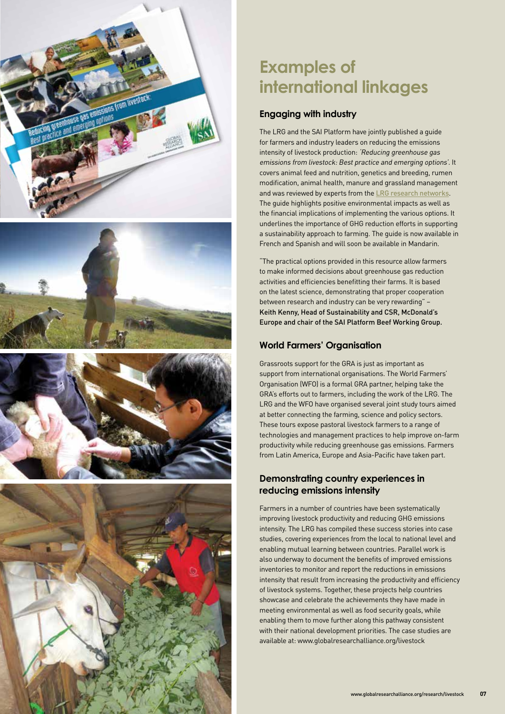

## **Examples of international linkages**

#### **Engaging with industry**

The LRG and the SAI Platform have jointly published a guide for farmers and industry leaders on reducing the emissions intensity of livestock production: 'Reducing greenhouse gas emissions from livestock: Best practice and emerging options'. It covers animal feed and nutrition, genetics and breeding, rumen modification, animal health, manure and grassland management and was reviewed by experts from the [LRG research networks](http://globalresearchalliance.org/research/livestock/). The guide highlights positive environmental impacts as well as the financial implications of implementing the various options. It underlines the importance of GHG reduction efforts in supporting a sustainability approach to farming. The guide is now available in French and Spanish and will soon be available in Mandarin.

"The practical options provided in this resource allow farmers to make informed decisions about greenhouse gas reduction activities and efficiencies benefitting their farms. It is based on the latest science, demonstrating that proper cooperation between research and industry can be very rewarding" – Keith Kenny, Head of Sustainability and CSR, McDonald's Europe and chair of the SAI Platform Beef Working Group.

#### **World Farmers' Organisation**

Grassroots support for the GRA is just as important as support from international organisations. The World Farmers' Organisation (WFO) is a formal GRA partner, helping take the GRA's efforts out to farmers, including the work of the LRG. The LRG and the WFO have organised several joint study tours aimed at better connecting the farming, science and policy sectors. These tours expose pastoral livestock farmers to a range of technologies and management practices to help improve on-farm productivity while reducing greenhouse gas emissions. Farmers from Latin America, Europe and Asia-Pacific have taken part.

#### **Demonstrating country experiences in reducing emissions intensity**

Farmers in a number of countries have been systematically improving livestock productivity and reducing GHG emissions intensity. The LRG has compiled these success stories into case studies, covering experiences from the local to national level and enabling mutual learning between countries. Parallel work is also underway to document the benefits of improved emissions inventories to monitor and report the reductions in emissions intensity that result from increasing the productivity and efficiency of livestock systems. Together, these projects help countries showcase and celebrate the achievements they have made in meeting environmental as well as food security goals, while enabling them to move further along this pathway consistent with their national development priorities. The case studies are available at: [www.globalresearchalliance.org/livestock](http://www.globalresearchalliance.org/livestock)